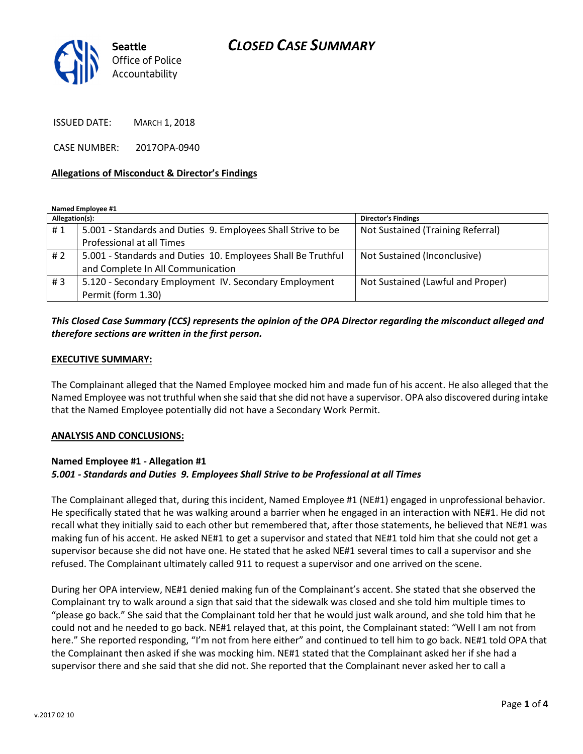

ISSUED DATE: MARCH 1, 2018

CASE NUMBER: 2017OPA-0940

#### Allegations of Misconduct & Director's Findings

Named Employee #1

| Allegation(s): |                                                              | <b>Director's Findings</b>        |
|----------------|--------------------------------------------------------------|-----------------------------------|
| #1             | 5.001 - Standards and Duties 9. Employees Shall Strive to be | Not Sustained (Training Referral) |
|                | Professional at all Times                                    |                                   |
| # 2            | 5.001 - Standards and Duties 10. Employees Shall Be Truthful | Not Sustained (Inconclusive)      |
|                | and Complete In All Communication                            |                                   |
| #3             | 5.120 - Secondary Employment IV. Secondary Employment        | Not Sustained (Lawful and Proper) |
|                | Permit (form 1.30)                                           |                                   |

## This Closed Case Summary (CCS) represents the opinion of the OPA Director regarding the misconduct alleged and therefore sections are written in the first person.

#### EXECUTIVE SUMMARY:

The Complainant alleged that the Named Employee mocked him and made fun of his accent. He also alleged that the Named Employee was not truthful when she said that she did not have a supervisor. OPA also discovered during intake that the Named Employee potentially did not have a Secondary Work Permit.

#### ANALYSIS AND CONCLUSIONS:

#### Named Employee #1 - Allegation #1 5.001 - Standards and Duties 9. Employees Shall Strive to be Professional at all Times

The Complainant alleged that, during this incident, Named Employee #1 (NE#1) engaged in unprofessional behavior. He specifically stated that he was walking around a barrier when he engaged in an interaction with NE#1. He did not recall what they initially said to each other but remembered that, after those statements, he believed that NE#1 was making fun of his accent. He asked NE#1 to get a supervisor and stated that NE#1 told him that she could not get a supervisor because she did not have one. He stated that he asked NE#1 several times to call a supervisor and she refused. The Complainant ultimately called 911 to request a supervisor and one arrived on the scene.

During her OPA interview, NE#1 denied making fun of the Complainant's accent. She stated that she observed the Complainant try to walk around a sign that said that the sidewalk was closed and she told him multiple times to "please go back." She said that the Complainant told her that he would just walk around, and she told him that he could not and he needed to go back. NE#1 relayed that, at this point, the Complainant stated: "Well I am not from here." She reported responding, "I'm not from here either" and continued to tell him to go back. NE#1 told OPA that the Complainant then asked if she was mocking him. NE#1 stated that the Complainant asked her if she had a supervisor there and she said that she did not. She reported that the Complainant never asked her to call a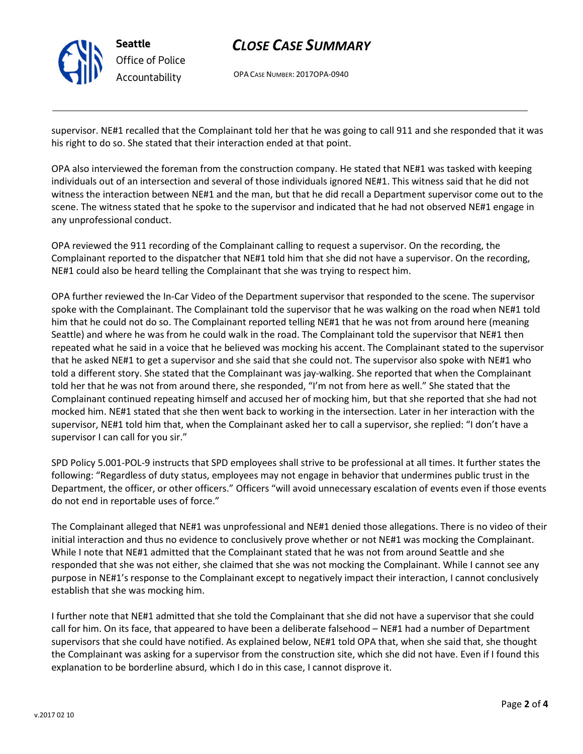

# CLOSE CASE SUMMARY

OPA CASE NUMBER: 2017OPA-0940

supervisor. NE#1 recalled that the Complainant told her that he was going to call 911 and she responded that it was his right to do so. She stated that their interaction ended at that point.

OPA also interviewed the foreman from the construction company. He stated that NE#1 was tasked with keeping individuals out of an intersection and several of those individuals ignored NE#1. This witness said that he did not witness the interaction between NE#1 and the man, but that he did recall a Department supervisor come out to the scene. The witness stated that he spoke to the supervisor and indicated that he had not observed NE#1 engage in any unprofessional conduct.

OPA reviewed the 911 recording of the Complainant calling to request a supervisor. On the recording, the Complainant reported to the dispatcher that NE#1 told him that she did not have a supervisor. On the recording, NE#1 could also be heard telling the Complainant that she was trying to respect him.

OPA further reviewed the In-Car Video of the Department supervisor that responded to the scene. The supervisor spoke with the Complainant. The Complainant told the supervisor that he was walking on the road when NE#1 told him that he could not do so. The Complainant reported telling NE#1 that he was not from around here (meaning Seattle) and where he was from he could walk in the road. The Complainant told the supervisor that NE#1 then repeated what he said in a voice that he believed was mocking his accent. The Complainant stated to the supervisor that he asked NE#1 to get a supervisor and she said that she could not. The supervisor also spoke with NE#1 who told a different story. She stated that the Complainant was jay-walking. She reported that when the Complainant told her that he was not from around there, she responded, "I'm not from here as well." She stated that the Complainant continued repeating himself and accused her of mocking him, but that she reported that she had not mocked him. NE#1 stated that she then went back to working in the intersection. Later in her interaction with the supervisor, NE#1 told him that, when the Complainant asked her to call a supervisor, she replied: "I don't have a supervisor I can call for you sir."

SPD Policy 5.001-POL-9 instructs that SPD employees shall strive to be professional at all times. It further states the following: "Regardless of duty status, employees may not engage in behavior that undermines public trust in the Department, the officer, or other officers." Officers "will avoid unnecessary escalation of events even if those events do not end in reportable uses of force."

The Complainant alleged that NE#1 was unprofessional and NE#1 denied those allegations. There is no video of their initial interaction and thus no evidence to conclusively prove whether or not NE#1 was mocking the Complainant. While I note that NE#1 admitted that the Complainant stated that he was not from around Seattle and she responded that she was not either, she claimed that she was not mocking the Complainant. While I cannot see any purpose in NE#1's response to the Complainant except to negatively impact their interaction, I cannot conclusively establish that she was mocking him.

I further note that NE#1 admitted that she told the Complainant that she did not have a supervisor that she could call for him. On its face, that appeared to have been a deliberate falsehood – NE#1 had a number of Department supervisors that she could have notified. As explained below, NE#1 told OPA that, when she said that, she thought the Complainant was asking for a supervisor from the construction site, which she did not have. Even if I found this explanation to be borderline absurd, which I do in this case, I cannot disprove it.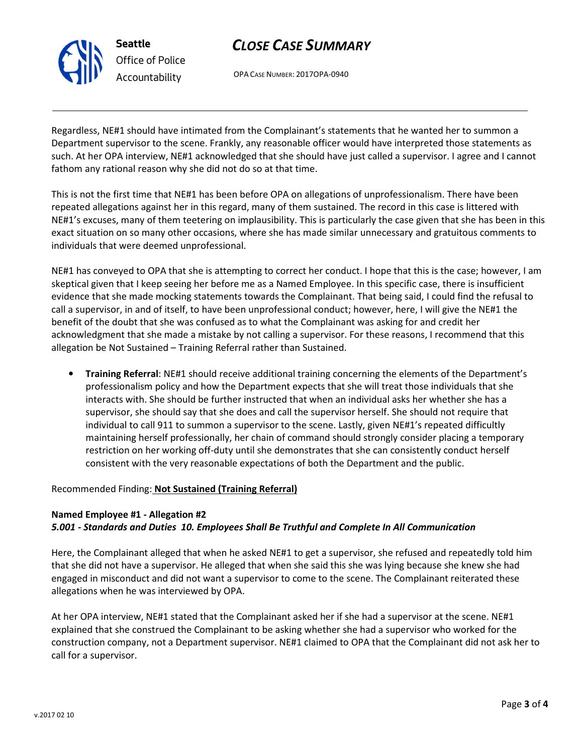# CLOSE CASE SUMMARY

OPA CASE NUMBER: 2017OPA-0940

Regardless, NE#1 should have intimated from the Complainant's statements that he wanted her to summon a Department supervisor to the scene. Frankly, any reasonable officer would have interpreted those statements as such. At her OPA interview, NE#1 acknowledged that she should have just called a supervisor. I agree and I cannot fathom any rational reason why she did not do so at that time.

This is not the first time that NE#1 has been before OPA on allegations of unprofessionalism. There have been repeated allegations against her in this regard, many of them sustained. The record in this case is littered with NE#1's excuses, many of them teetering on implausibility. This is particularly the case given that she has been in this exact situation on so many other occasions, where she has made similar unnecessary and gratuitous comments to individuals that were deemed unprofessional.

NE#1 has conveyed to OPA that she is attempting to correct her conduct. I hope that this is the case; however, I am skeptical given that I keep seeing her before me as a Named Employee. In this specific case, there is insufficient evidence that she made mocking statements towards the Complainant. That being said, I could find the refusal to call a supervisor, in and of itself, to have been unprofessional conduct; however, here, I will give the NE#1 the benefit of the doubt that she was confused as to what the Complainant was asking for and credit her acknowledgment that she made a mistake by not calling a supervisor. For these reasons, I recommend that this allegation be Not Sustained – Training Referral rather than Sustained.

• Training Referral: NE#1 should receive additional training concerning the elements of the Department's professionalism policy and how the Department expects that she will treat those individuals that she interacts with. She should be further instructed that when an individual asks her whether she has a supervisor, she should say that she does and call the supervisor herself. She should not require that individual to call 911 to summon a supervisor to the scene. Lastly, given NE#1's repeated difficultly maintaining herself professionally, her chain of command should strongly consider placing a temporary restriction on her working off-duty until she demonstrates that she can consistently conduct herself consistent with the very reasonable expectations of both the Department and the public.

### Recommended Finding: Not Sustained (Training Referral)

### Named Employee #1 - Allegation #2

### 5.001 - Standards and Duties 10. Employees Shall Be Truthful and Complete In All Communication

Here, the Complainant alleged that when he asked NE#1 to get a supervisor, she refused and repeatedly told him that she did not have a supervisor. He alleged that when she said this she was lying because she knew she had engaged in misconduct and did not want a supervisor to come to the scene. The Complainant reiterated these allegations when he was interviewed by OPA.

At her OPA interview, NE#1 stated that the Complainant asked her if she had a supervisor at the scene. NE#1 explained that she construed the Complainant to be asking whether she had a supervisor who worked for the construction company, not a Department supervisor. NE#1 claimed to OPA that the Complainant did not ask her to call for a supervisor.



Seattle Office of Police Accountability